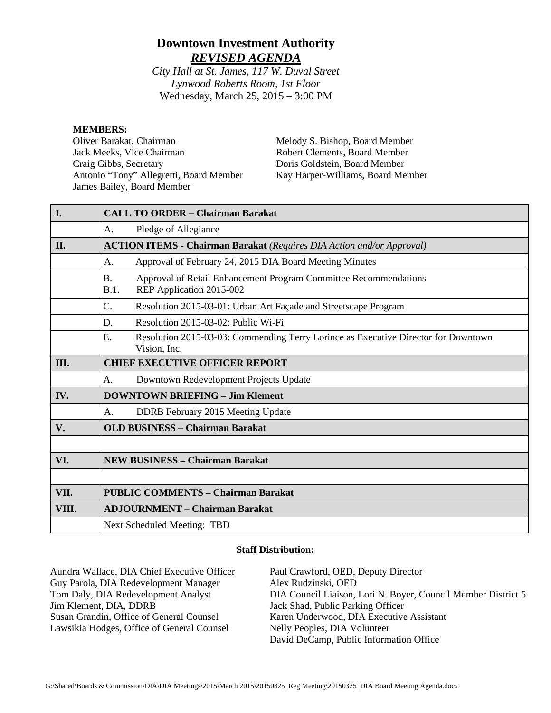# **Downtown Investment Authority** *REVISED AGENDA*

*City Hall at St. James, 117 W. Duval Street Lynwood Roberts Room, 1st Floor* Wednesday, March 25, 2015 – 3:00 PM

#### **MEMBERS:**

Oliver Barakat, Chairman Jack Meeks, Vice Chairman Craig Gibbs, Secretary Antonio "Tony" Allegretti, Board Member James Bailey, Board Member

Melody S. Bishop, Board Member Robert Clements, Board Member Doris Goldstein, Board Member Kay Harper-Williams, Board Member

| I.    | <b>CALL TO ORDER - Chairman Barakat</b>                                                                           |  |  |
|-------|-------------------------------------------------------------------------------------------------------------------|--|--|
|       |                                                                                                                   |  |  |
|       | Pledge of Allegiance<br>A.                                                                                        |  |  |
| II.   | <b>ACTION ITEMS - Chairman Barakat</b> (Requires DIA Action and/or Approval)                                      |  |  |
|       | Approval of February 24, 2015 DIA Board Meeting Minutes<br>A.                                                     |  |  |
|       | Approval of Retail Enhancement Program Committee Recommendations<br><b>B.</b><br>REP Application 2015-002<br>B.1. |  |  |
|       | $\mathcal{C}$ .<br>Resolution 2015-03-01: Urban Art Façade and Streetscape Program                                |  |  |
|       | Resolution 2015-03-02: Public Wi-Fi<br>D.                                                                         |  |  |
|       | E.<br>Resolution 2015-03-03: Commending Terry Lorince as Executive Director for Downtown<br>Vision, Inc.          |  |  |
| Ш.    | <b>CHIEF EXECUTIVE OFFICER REPORT</b>                                                                             |  |  |
|       | Downtown Redevelopment Projects Update<br>A.                                                                      |  |  |
| IV.   | <b>DOWNTOWN BRIEFING - Jim Klement</b>                                                                            |  |  |
|       | DDRB February 2015 Meeting Update<br>A.                                                                           |  |  |
| V.    | <b>OLD BUSINESS - Chairman Barakat</b>                                                                            |  |  |
|       |                                                                                                                   |  |  |
| VI.   | <b>NEW BUSINESS - Chairman Barakat</b>                                                                            |  |  |
|       |                                                                                                                   |  |  |
| VII.  | <b>PUBLIC COMMENTS - Chairman Barakat</b>                                                                         |  |  |
| VIII. | <b>ADJOURNMENT - Chairman Barakat</b>                                                                             |  |  |
|       | Next Scheduled Meeting: TBD                                                                                       |  |  |

#### **Staff Distribution:**

| Aundra Wallace, DIA Chief Executive Officer | Paul Crawford, OED, Deputy Director                           |
|---------------------------------------------|---------------------------------------------------------------|
| Guy Parola, DIA Redevelopment Manager       | Alex Rudzinski, OED                                           |
| Tom Daly, DIA Redevelopment Analyst         | DIA Council Liaison, Lori N. Boyer, Council Member District 5 |
| Jim Klement, DIA, DDRB                      | Jack Shad, Public Parking Officer                             |
| Susan Grandin, Office of General Counsel    | Karen Underwood, DIA Executive Assistant                      |
| Lawsikia Hodges, Office of General Counsel  | Nelly Peoples, DIA Volunteer                                  |
|                                             | David DeCamp, Public Information Office                       |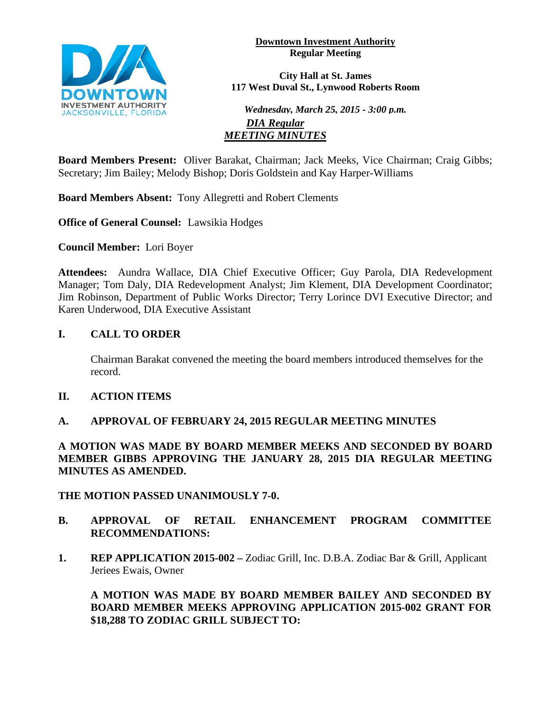

**Downtown Investment Authority Regular Meeting** 

**City Hall at St. James 117 West Duval St., Lynwood Roberts Room**

*Wednesday, March 25, 2015 - 3:00 p.m. DIA Regular MEETING MINUTES*

**Board Members Present:** Oliver Barakat, Chairman; Jack Meeks, Vice Chairman; Craig Gibbs; Secretary; Jim Bailey; Melody Bishop; Doris Goldstein and Kay Harper-Williams

**Board Members Absent:** Tony Allegretti and Robert Clements

**Office of General Counsel:** Lawsikia Hodges

**Council Member:** Lori Boyer

**Attendees:** Aundra Wallace, DIA Chief Executive Officer; Guy Parola, DIA Redevelopment Manager; Tom Daly, DIA Redevelopment Analyst; Jim Klement, DIA Development Coordinator; Jim Robinson, Department of Public Works Director; Terry Lorince DVI Executive Director; and Karen Underwood, DIA Executive Assistant

## **I. CALL TO ORDER**

Chairman Barakat convened the meeting the board members introduced themselves for the record.

## **II. ACTION ITEMS**

## **A. APPROVAL OF FEBRUARY 24, 2015 REGULAR MEETING MINUTES**

**A MOTION WAS MADE BY BOARD MEMBER MEEKS AND SECONDED BY BOARD MEMBER GIBBS APPROVING THE JANUARY 28, 2015 DIA REGULAR MEETING MINUTES AS AMENDED.** 

**THE MOTION PASSED UNANIMOUSLY 7-0.**

- **B. APPROVAL OF RETAIL ENHANCEMENT PROGRAM COMMITTEE RECOMMENDATIONS:**
- **1. REP APPLICATION 2015-002 –** Zodiac Grill, Inc. D.B.A. Zodiac Bar & Grill, Applicant Jeriees Ewais, Owner

**A MOTION WAS MADE BY BOARD MEMBER BAILEY AND SECONDED BY BOARD MEMBER MEEKS APPROVING APPLICATION 2015-002 GRANT FOR \$18,288 TO ZODIAC GRILL SUBJECT TO:**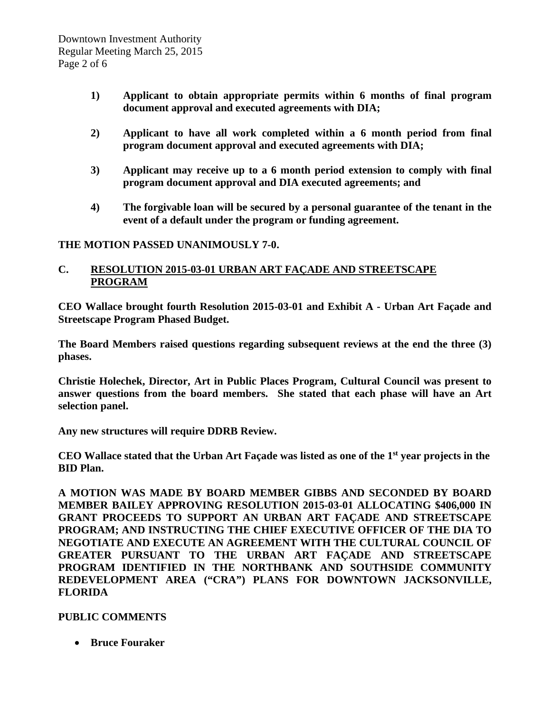- **1) Applicant to obtain appropriate permits within 6 months of final program document approval and executed agreements with DIA;**
- **2) Applicant to have all work completed within a 6 month period from final program document approval and executed agreements with DIA;**
- **3) Applicant may receive up to a 6 month period extension to comply with final program document approval and DIA executed agreements; and**
- **4) The forgivable loan will be secured by a personal guarantee of the tenant in the event of a default under the program or funding agreement.**

### **THE MOTION PASSED UNANIMOUSLY 7-0.**

### **C. RESOLUTION 2015-03-01 URBAN ART FAÇADE AND STREETSCAPE PROGRAM**

**CEO Wallace brought fourth Resolution 2015-03-01 and Exhibit A - Urban Art Façade and Streetscape Program Phased Budget.** 

**The Board Members raised questions regarding subsequent reviews at the end the three (3) phases.** 

**Christie Holechek, Director, Art in Public Places Program, Cultural Council was present to answer questions from the board members. She stated that each phase will have an Art selection panel.** 

**Any new structures will require DDRB Review.**

**CEO Wallace stated that the Urban Art Façade was listed as one of the 1st year projects in the BID Plan.** 

**A MOTION WAS MADE BY BOARD MEMBER GIBBS AND SECONDED BY BOARD MEMBER BAILEY APPROVING RESOLUTION 2015-03-01 ALLOCATING \$406,000 IN GRANT PROCEEDS TO SUPPORT AN URBAN ART FAÇADE AND STREETSCAPE PROGRAM; AND INSTRUCTING THE CHIEF EXECUTIVE OFFICER OF THE DIA TO NEGOTIATE AND EXECUTE AN AGREEMENT WITH THE CULTURAL COUNCIL OF GREATER PURSUANT TO THE URBAN ART FAÇADE AND STREETSCAPE PROGRAM IDENTIFIED IN THE NORTHBANK AND SOUTHSIDE COMMUNITY REDEVELOPMENT AREA ("CRA") PLANS FOR DOWNTOWN JACKSONVILLE, FLORIDA** 

## **PUBLIC COMMENTS**

• **Bruce Fouraker**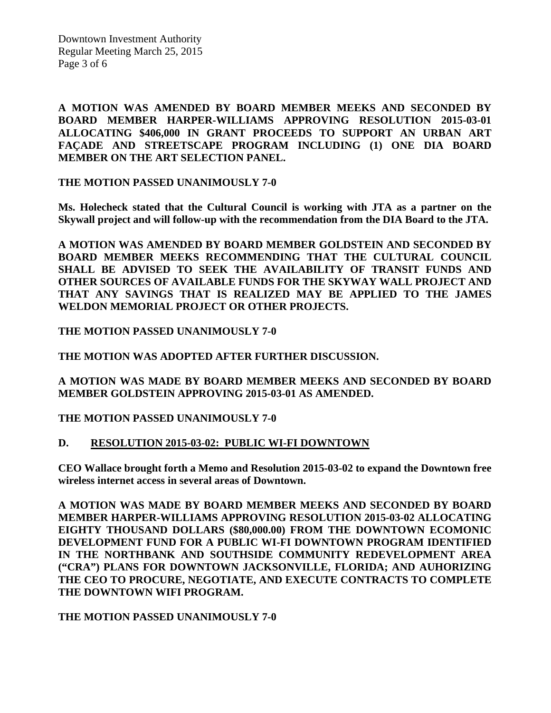Downtown Investment Authority Regular Meeting March 25, 2015 Page 3 of 6

**A MOTION WAS AMENDED BY BOARD MEMBER MEEKS AND SECONDED BY BOARD MEMBER HARPER-WILLIAMS APPROVING RESOLUTION 2015-03-01 ALLOCATING \$406,000 IN GRANT PROCEEDS TO SUPPORT AN URBAN ART FAÇADE AND STREETSCAPE PROGRAM INCLUDING (1) ONE DIA BOARD MEMBER ON THE ART SELECTION PANEL.** 

**THE MOTION PASSED UNANIMOUSLY 7-0** 

**Ms. Holecheck stated that the Cultural Council is working with JTA as a partner on the Skywall project and will follow-up with the recommendation from the DIA Board to the JTA.** 

**A MOTION WAS AMENDED BY BOARD MEMBER GOLDSTEIN AND SECONDED BY BOARD MEMBER MEEKS RECOMMENDING THAT THE CULTURAL COUNCIL SHALL BE ADVISED TO SEEK THE AVAILABILITY OF TRANSIT FUNDS AND OTHER SOURCES OF AVAILABLE FUNDS FOR THE SKYWAY WALL PROJECT AND THAT ANY SAVINGS THAT IS REALIZED MAY BE APPLIED TO THE JAMES WELDON MEMORIAL PROJECT OR OTHER PROJECTS.** 

**THE MOTION PASSED UNANIMOUSLY 7-0**

**THE MOTION WAS ADOPTED AFTER FURTHER DISCUSSION.** 

**A MOTION WAS MADE BY BOARD MEMBER MEEKS AND SECONDED BY BOARD MEMBER GOLDSTEIN APPROVING 2015-03-01 AS AMENDED.** 

**THE MOTION PASSED UNANIMOUSLY 7-0** 

#### **D. RESOLUTION 2015-03-02: PUBLIC WI-FI DOWNTOWN**

**CEO Wallace brought forth a Memo and Resolution 2015-03-02 to expand the Downtown free wireless internet access in several areas of Downtown.** 

**A MOTION WAS MADE BY BOARD MEMBER MEEKS AND SECONDED BY BOARD MEMBER HARPER-WILLIAMS APPROVING RESOLUTION 2015-03-02 ALLOCATING EIGHTY THOUSAND DOLLARS (\$80,000.00) FROM THE DOWNTOWN ECOMONIC DEVELOPMENT FUND FOR A PUBLIC WI-FI DOWNTOWN PROGRAM IDENTIFIED IN THE NORTHBANK AND SOUTHSIDE COMMUNITY REDEVELOPMENT AREA ("CRA") PLANS FOR DOWNTOWN JACKSONVILLE, FLORIDA; AND AUHORIZING THE CEO TO PROCURE, NEGOTIATE, AND EXECUTE CONTRACTS TO COMPLETE THE DOWNTOWN WIFI PROGRAM.** 

**THE MOTION PASSED UNANIMOUSLY 7-0**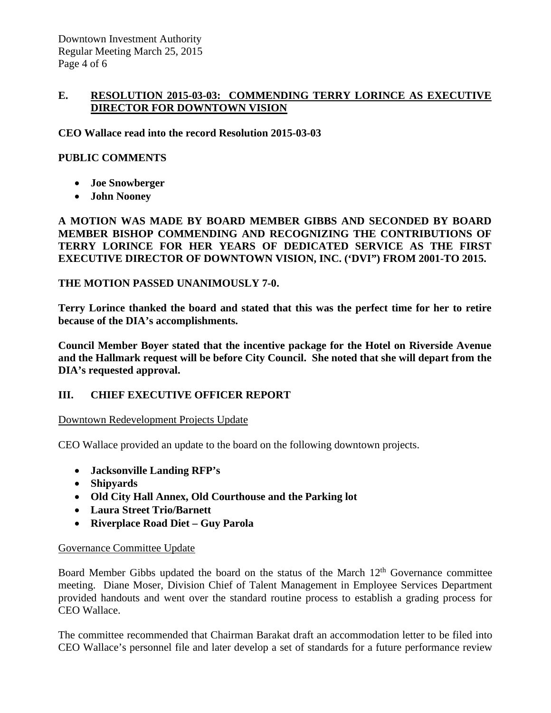### **E. RESOLUTION 2015-03-03: COMMENDING TERRY LORINCE AS EXECUTIVE DIRECTOR FOR DOWNTOWN VISION**

**CEO Wallace read into the record Resolution 2015-03-03**

### **PUBLIC COMMENTS**

- **Joe Snowberger**
- **John Nooney**

**A MOTION WAS MADE BY BOARD MEMBER GIBBS AND SECONDED BY BOARD MEMBER BISHOP COMMENDING AND RECOGNIZING THE CONTRIBUTIONS OF TERRY LORINCE FOR HER YEARS OF DEDICATED SERVICE AS THE FIRST EXECUTIVE DIRECTOR OF DOWNTOWN VISION, INC. ('DVI") FROM 2001-TO 2015.** 

#### **THE MOTION PASSED UNANIMOUSLY 7-0.**

**Terry Lorince thanked the board and stated that this was the perfect time for her to retire because of the DIA's accomplishments.** 

**Council Member Boyer stated that the incentive package for the Hotel on Riverside Avenue and the Hallmark request will be before City Council. She noted that she will depart from the DIA's requested approval.** 

## **III. CHIEF EXECUTIVE OFFICER REPORT**

#### Downtown Redevelopment Projects Update

CEO Wallace provided an update to the board on the following downtown projects.

- **Jacksonville Landing RFP's**
- **Shipyards**
- **Old City Hall Annex, Old Courthouse and the Parking lot**
- **Laura Street Trio/Barnett**
- **Riverplace Road Diet – Guy Parola**

#### Governance Committee Update

Board Member Gibbs updated the board on the status of the March  $12<sup>th</sup>$  Governance committee meeting. Diane Moser, Division Chief of Talent Management in Employee Services Department provided handouts and went over the standard routine process to establish a grading process for CEO Wallace.

The committee recommended that Chairman Barakat draft an accommodation letter to be filed into CEO Wallace's personnel file and later develop a set of standards for a future performance review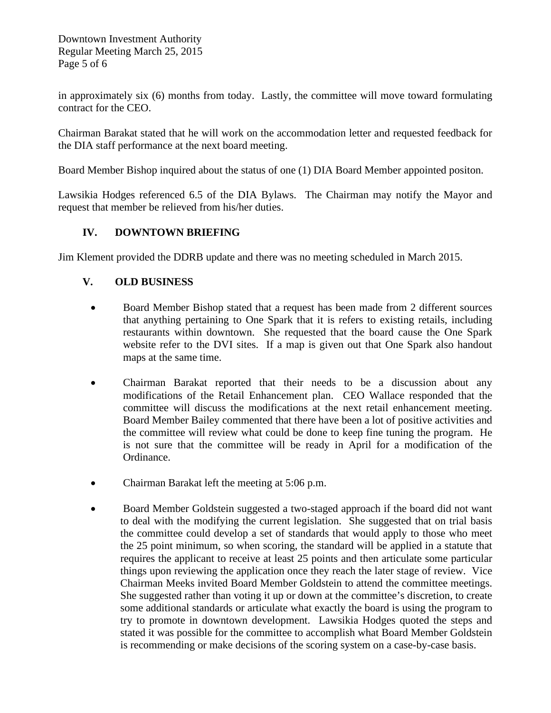Downtown Investment Authority Regular Meeting March 25, 2015 Page 5 of 6

in approximately six (6) months from today. Lastly, the committee will move toward formulating contract for the CEO.

Chairman Barakat stated that he will work on the accommodation letter and requested feedback for the DIA staff performance at the next board meeting.

Board Member Bishop inquired about the status of one (1) DIA Board Member appointed positon.

Lawsikia Hodges referenced 6.5 of the DIA Bylaws. The Chairman may notify the Mayor and request that member be relieved from his/her duties.

## **IV. DOWNTOWN BRIEFING**

Jim Klement provided the DDRB update and there was no meeting scheduled in March 2015.

## **V. OLD BUSINESS**

- Board Member Bishop stated that a request has been made from 2 different sources that anything pertaining to One Spark that it is refers to existing retails, including restaurants within downtown. She requested that the board cause the One Spark website refer to the DVI sites. If a map is given out that One Spark also handout maps at the same time.
- Chairman Barakat reported that their needs to be a discussion about any modifications of the Retail Enhancement plan. CEO Wallace responded that the committee will discuss the modifications at the next retail enhancement meeting. Board Member Bailey commented that there have been a lot of positive activities and the committee will review what could be done to keep fine tuning the program. He is not sure that the committee will be ready in April for a modification of the Ordinance.
- Chairman Barakat left the meeting at 5:06 p.m.
- Board Member Goldstein suggested a two-staged approach if the board did not want to deal with the modifying the current legislation. She suggested that on trial basis the committee could develop a set of standards that would apply to those who meet the 25 point minimum, so when scoring, the standard will be applied in a statute that requires the applicant to receive at least 25 points and then articulate some particular things upon reviewing the application once they reach the later stage of review. Vice Chairman Meeks invited Board Member Goldstein to attend the committee meetings. She suggested rather than voting it up or down at the committee's discretion, to create some additional standards or articulate what exactly the board is using the program to try to promote in downtown development. Lawsikia Hodges quoted the steps and stated it was possible for the committee to accomplish what Board Member Goldstein is recommending or make decisions of the scoring system on a case-by-case basis.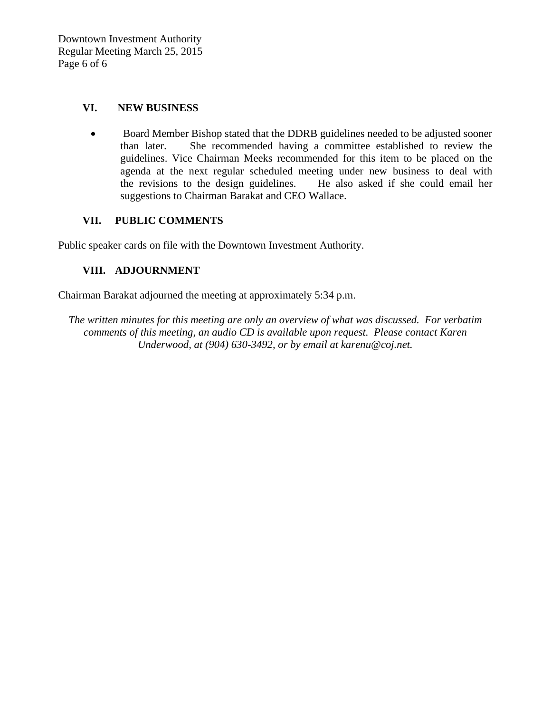### **VI. NEW BUSINESS**

• Board Member Bishop stated that the DDRB guidelines needed to be adjusted sooner than later. She recommended having a committee established to review the guidelines. Vice Chairman Meeks recommended for this item to be placed on the agenda at the next regular scheduled meeting under new business to deal with the revisions to the design guidelines. He also asked if she could email her suggestions to Chairman Barakat and CEO Wallace.

## **VII. PUBLIC COMMENTS**

Public speaker cards on file with the Downtown Investment Authority.

## **VIII. ADJOURNMENT**

Chairman Barakat adjourned the meeting at approximately 5:34 p.m.

*The written minutes for this meeting are only an overview of what was discussed. For verbatim comments of this meeting, an audio CD is available upon request. Please contact Karen Underwood, at (904) 630-3492, or by email at karenu@coj.net.*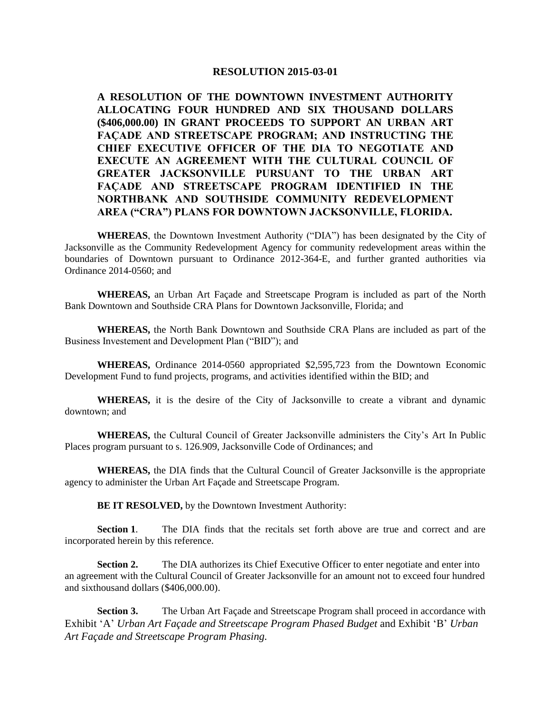#### **RESOLUTION 2015-03-01**

**A RESOLUTION OF THE DOWNTOWN INVESTMENT AUTHORITY ALLOCATING FOUR HUNDRED AND SIX THOUSAND DOLLARS (\$406,000.00) IN GRANT PROCEEDS TO SUPPORT AN URBAN ART FAÇADE AND STREETSCAPE PROGRAM; AND INSTRUCTING THE CHIEF EXECUTIVE OFFICER OF THE DIA TO NEGOTIATE AND EXECUTE AN AGREEMENT WITH THE CULTURAL COUNCIL OF GREATER JACKSONVILLE PURSUANT TO THE URBAN ART FAÇADE AND STREETSCAPE PROGRAM IDENTIFIED IN THE NORTHBANK AND SOUTHSIDE COMMUNITY REDEVELOPMENT AREA ("CRA") PLANS FOR DOWNTOWN JACKSONVILLE, FLORIDA.**

**WHEREAS**, the Downtown Investment Authority ("DIA") has been designated by the City of Jacksonville as the Community Redevelopment Agency for community redevelopment areas within the boundaries of Downtown pursuant to Ordinance 2012-364-E, and further granted authorities via Ordinance 2014-0560; and

**WHEREAS,** an Urban Art Façade and Streetscape Program is included as part of the North Bank Downtown and Southside CRA Plans for Downtown Jacksonville, Florida; and

**WHEREAS,** the North Bank Downtown and Southside CRA Plans are included as part of the Business Investement and Development Plan ("BID"); and

**WHEREAS,** Ordinance 2014-0560 appropriated \$2,595,723 from the Downtown Economic Development Fund to fund projects, programs, and activities identified within the BID; and

**WHEREAS,** it is the desire of the City of Jacksonville to create a vibrant and dynamic downtown; and

**WHEREAS,** the Cultural Council of Greater Jacksonville administers the City's Art In Public Places program pursuant to s. 126.909, Jacksonville Code of Ordinances; and

**WHEREAS,** the DIA finds that the Cultural Council of Greater Jacksonville is the appropriate agency to administer the Urban Art Façade and Streetscape Program.

**BE IT RESOLVED,** by the Downtown Investment Authority:

**Section 1.** The DIA finds that the recitals set forth above are true and correct and are incorporated herein by this reference.

**Section 2.** The DIA authorizes its Chief Executive Officer to enter negotiate and enter into an agreement with the Cultural Council of Greater Jacksonville for an amount not to exceed four hundred and sixthousand dollars (\$406,000.00).

**Section 3.** The Urban Art Façade and Streetscape Program shall proceed in accordance with Exhibit 'A' *Urban Art Façade and Streetscape Program Phased Budget* and Exhibit 'B' *Urban Art Façade and Streetscape Program Phasing.*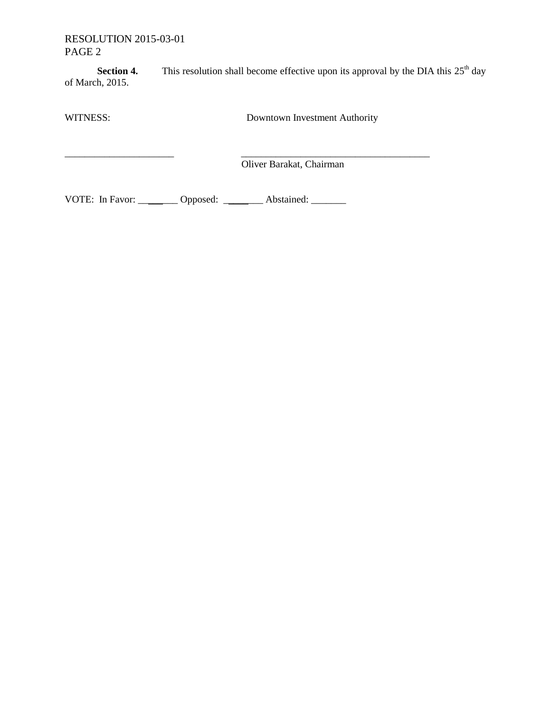## RESOLUTION 2015-03-01 PAGE 2

\_\_\_\_\_\_\_\_\_\_\_\_\_\_\_\_\_\_\_\_\_\_ \_\_\_\_\_\_\_\_\_\_\_\_\_\_\_\_\_\_\_\_\_\_\_\_\_\_\_\_\_\_\_\_\_\_\_\_\_\_

**Section 4.** This resolution shall become effective upon its approval by the DIA this  $25<sup>th</sup>$  day of March, 2015.

WITNESS: Downtown Investment Authority

Oliver Barakat, Chairman

VOTE: In Favor: \_\_\_\_\_\_\_\_ Opposed: \_\_\_\_\_\_\_\_ Abstained: \_\_\_\_\_\_\_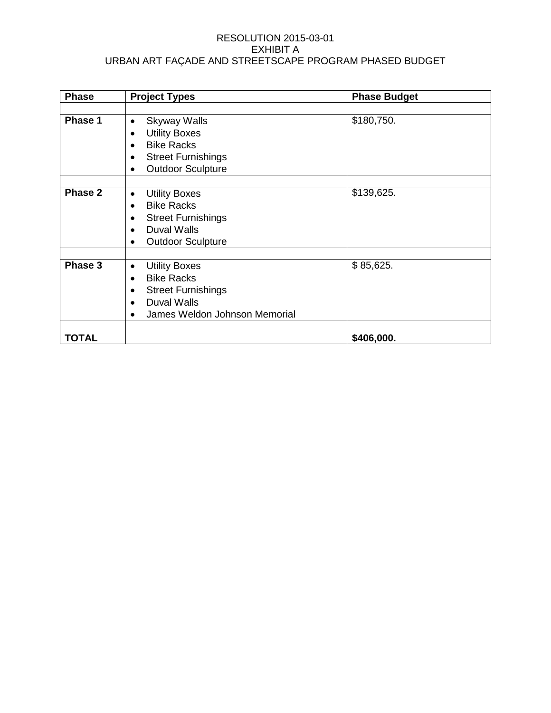#### RESOLUTION 2015-03-01 EXHIBIT A URBAN ART FAÇADE AND STREETSCAPE PROGRAM PHASED BUDGET

| <b>Phase</b> | <b>Project Types</b>                                                                                                                                                                      | <b>Phase Budget</b> |
|--------------|-------------------------------------------------------------------------------------------------------------------------------------------------------------------------------------------|---------------------|
|              |                                                                                                                                                                                           |                     |
| Phase 1      | <b>Skyway Walls</b><br>$\bullet$<br><b>Utility Boxes</b><br>$\bullet$<br><b>Bike Racks</b><br>$\bullet$<br><b>Street Furnishings</b><br><b>Outdoor Sculpture</b><br>$\bullet$             | \$180,750.          |
| Phase 2      | <b>Utility Boxes</b><br>$\bullet$<br><b>Bike Racks</b><br>$\bullet$<br><b>Street Furnishings</b><br>$\bullet$<br><b>Duval Walls</b><br>$\bullet$<br><b>Outdoor Sculpture</b><br>$\bullet$ | \$139,625.          |
| Phase 3      | <b>Utility Boxes</b><br>٠<br><b>Bike Racks</b><br>$\bullet$<br><b>Street Furnishings</b><br>$\bullet$<br><b>Duval Walls</b><br>$\bullet$<br>James Weldon Johnson Memorial                 | \$85,625.           |
| <b>TOTAL</b> |                                                                                                                                                                                           | \$406,000.          |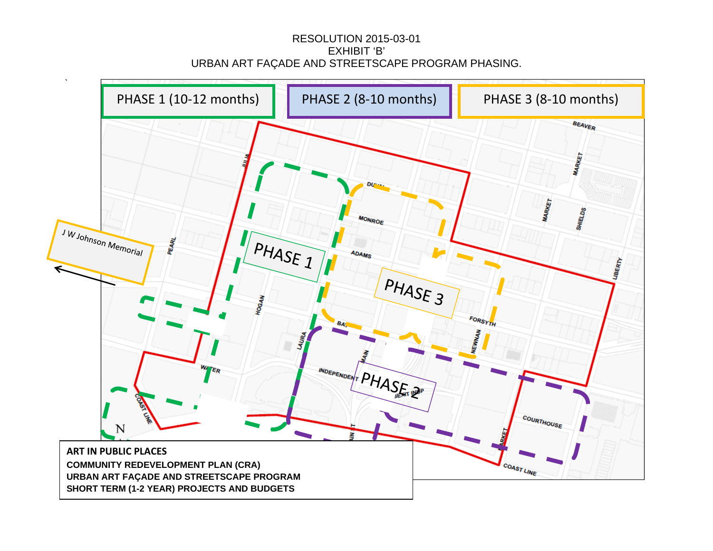## RESOLUTION 2015-03-01 EXHIBIT 'B' URBAN ART FAÇADE AND STREETSCAPE PROGRAM PHASING.

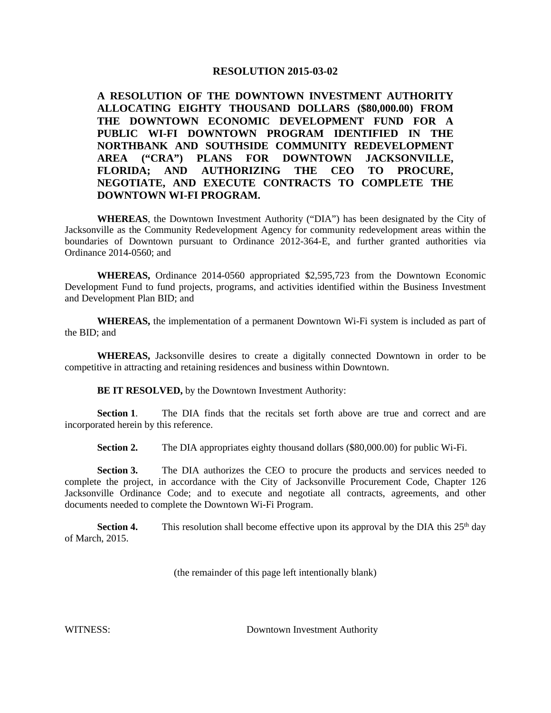#### **RESOLUTION 2015-03-02**

**A RESOLUTION OF THE DOWNTOWN INVESTMENT AUTHORITY ALLOCATING EIGHTY THOUSAND DOLLARS (\$80,000.00) FROM THE DOWNTOWN ECONOMIC DEVELOPMENT FUND FOR A PUBLIC WI-FI DOWNTOWN PROGRAM IDENTIFIED IN THE NORTHBANK AND SOUTHSIDE COMMUNITY REDEVELOPMENT AREA ("CRA") PLANS FOR DOWNTOWN JACKSONVILLE, FLORIDA; AND AUTHORIZING THE CEO TO PROCURE, NEGOTIATE, AND EXECUTE CONTRACTS TO COMPLETE THE DOWNTOWN WI-FI PROGRAM.**

**WHEREAS**, the Downtown Investment Authority ("DIA") has been designated by the City of Jacksonville as the Community Redevelopment Agency for community redevelopment areas within the boundaries of Downtown pursuant to Ordinance 2012-364-E, and further granted authorities via Ordinance 2014-0560; and

**WHEREAS,** Ordinance 2014-0560 appropriated \$2,595,723 from the Downtown Economic Development Fund to fund projects, programs, and activities identified within the Business Investment and Development Plan BID; and

**WHEREAS,** the implementation of a permanent Downtown Wi-Fi system is included as part of the BID; and

**WHEREAS,** Jacksonville desires to create a digitally connected Downtown in order to be competitive in attracting and retaining residences and business within Downtown.

**BE IT RESOLVED,** by the Downtown Investment Authority:

**Section 1.** The DIA finds that the recitals set forth above are true and correct and are incorporated herein by this reference.

**Section 2.** The DIA appropriates eighty thousand dollars (\$80,000.00) for public Wi-Fi.

**Section 3.** The DIA authorizes the CEO to procure the products and services needed to complete the project, in accordance with the City of Jacksonville Procurement Code, Chapter 126 Jacksonville Ordinance Code; and to execute and negotiate all contracts, agreements, and other documents needed to complete the Downtown Wi-Fi Program.

**Section 4.** This resolution shall become effective upon its approval by the DIA this  $25<sup>th</sup>$  day of March, 2015.

(the remainder of this page left intentionally blank)

WITNESS: Downtown Investment Authority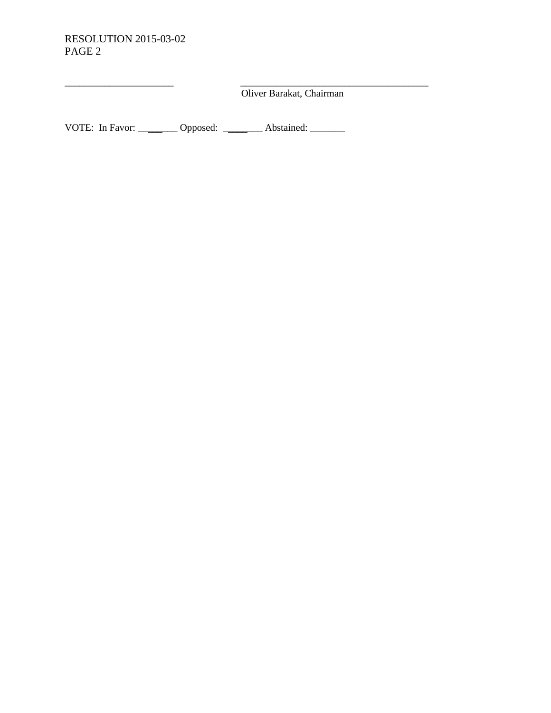## RESOLUTION 2015-03-02 PAGE 2

\_\_\_\_\_\_\_\_\_\_\_\_\_\_\_\_\_\_\_\_\_\_ \_\_\_\_\_\_\_\_\_\_\_\_\_\_\_\_\_\_\_\_\_\_\_\_\_\_\_\_\_\_\_\_\_\_\_\_\_\_ Oliver Barakat, Chairman

VOTE: In Favor: \_\_\_\_\_\_\_\_ Opposed: \_\_\_\_\_\_\_\_ Abstained: \_\_\_\_\_\_\_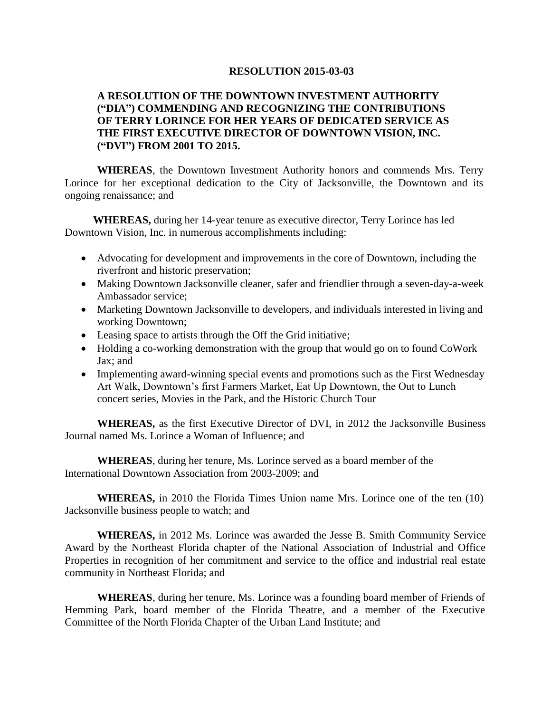#### **RESOLUTION 2015-03-03**

### **A RESOLUTION OF THE DOWNTOWN INVESTMENT AUTHORITY ("DIA") COMMENDING AND RECOGNIZING THE CONTRIBUTIONS OF TERRY LORINCE FOR HER YEARS OF DEDICATED SERVICE AS THE FIRST EXECUTIVE DIRECTOR OF DOWNTOWN VISION, INC. ("DVI") FROM 2001 TO 2015.**

**WHEREAS**, the Downtown Investment Authority honors and commends Mrs. Terry Lorince for her exceptional dedication to the City of Jacksonville, the Downtown and its ongoing renaissance; and

**WHEREAS,** during her 14-year tenure as executive director, Terry Lorince has led Downtown Vision, Inc. in numerous accomplishments including:

- Advocating for development and improvements in the core of Downtown, including the riverfront and historic preservation;
- Making Downtown Jacksonville cleaner, safer and friendlier through a seven-day-a-week Ambassador service;
- Marketing Downtown Jacksonville to developers, and individuals interested in living and working Downtown;
- Leasing space to artists through the Off the Grid initiative;
- Holding a co-working demonstration with the group that would go on to found CoWork Jax; and
- Implementing award-winning special events and promotions such as the First Wednesday Art Walk, Downtown's first Farmers Market, Eat Up Downtown, the Out to Lunch concert series, Movies in the Park, and the Historic Church Tour

**WHEREAS,** as the first Executive Director of DVI, in 2012 the Jacksonville Business Journal named Ms. Lorince a Woman of Influence; and

**WHEREAS**, during her tenure, Ms. Lorince served as a board member of the International Downtown Association from 2003-2009; and

**WHEREAS,** in 2010 the Florida Times Union name Mrs. Lorince one of the ten (10) Jacksonville business people to watch; and

**WHEREAS,** in 2012 Ms. Lorince was awarded the Jesse B. Smith Community Service Award by the Northeast Florida chapter of the National Association of Industrial and Office Properties in recognition of her commitment and service to the office and industrial real estate community in Northeast Florida; and

**WHEREAS**, during her tenure, Ms. Lorince was a founding board member of Friends of Hemming Park, board member of the Florida Theatre, and a member of the Executive Committee of the North Florida Chapter of the Urban Land Institute; and